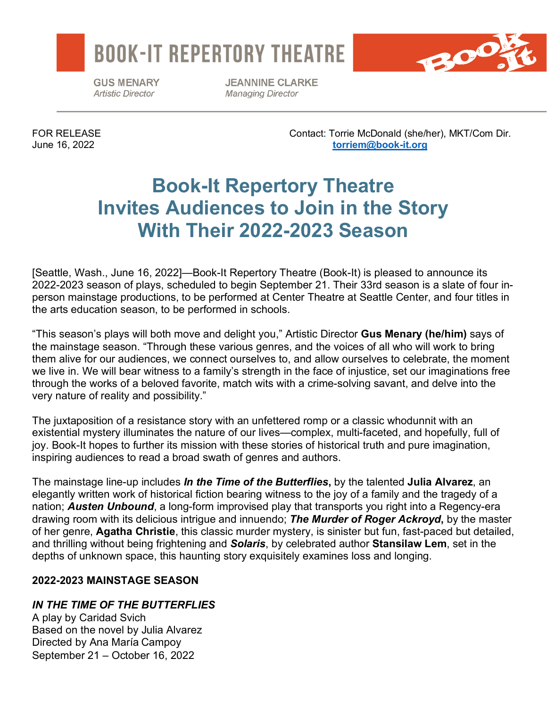



**GUS MENARY Artistic Director** 

**JEANNINE CLARKE Managing Director** 

FOR RELEASE Contact: Torrie McDonald (she/her), MKT/Com Dir. June 16, 2022 **[torriem@book-it.org](mailto:torriem@book-it.org)**

# **Book-It Repertory Theatre Invites Audiences to Join in the Story With Their 2022-2023 Season**

[Seattle, Wash., June 16, 2022]—Book-It Repertory Theatre (Book-It) is pleased to announce its 2022-2023 season of plays, scheduled to begin September 21. Their 33rd season is a slate of four inperson mainstage productions, to be performed at Center Theatre at Seattle Center, and four titles in the arts education season, to be performed in schools.

"This season's plays will both move and delight you," Artistic Director **Gus Menary (he/him)** says of the mainstage season. "Through these various genres, and the voices of all who will work to bring them alive for our audiences, we connect ourselves to, and allow ourselves to celebrate, the moment we live in. We will bear witness to a family's strength in the face of injustice, set our imaginations free through the works of a beloved favorite, match wits with a crime-solving savant, and delve into the very nature of reality and possibility."

The juxtaposition of a resistance story with an unfettered romp or a classic whodunnit with an existential mystery illuminates the nature of our lives—complex, multi-faceted, and hopefully, full of joy. Book-It hopes to further its mission with these stories of historical truth and pure imagination, inspiring audiences to read a broad swath of genres and authors.

The mainstage line-up includes *In the Time of the Butterflies***,** by the talented **Julia Alvarez**, an elegantly written work of historical fiction bearing witness to the joy of a family and the tragedy of a nation; *Austen Unbound*, a long-form improvised play that transports you right into a Regency-era drawing room with its delicious intrigue and innuendo; *The Murder of Roger Ackroyd***,** by the master of her genre, **Agatha Christie**, this classic murder mystery, is sinister but fun, fast-paced but detailed, and thrilling without being frightening and *Solaris*, by celebrated author **Stansilaw Lem**, set in the depths of unknown space, this haunting story exquisitely examines loss and longing.

# **2022-2023 MAINSTAGE SEASON**

# *IN THE TIME OF THE BUTTERFLIES*

A play by Caridad Svich Based on the novel by Julia Alvarez Directed by Ana María Campoy September 21 – October 16, 2022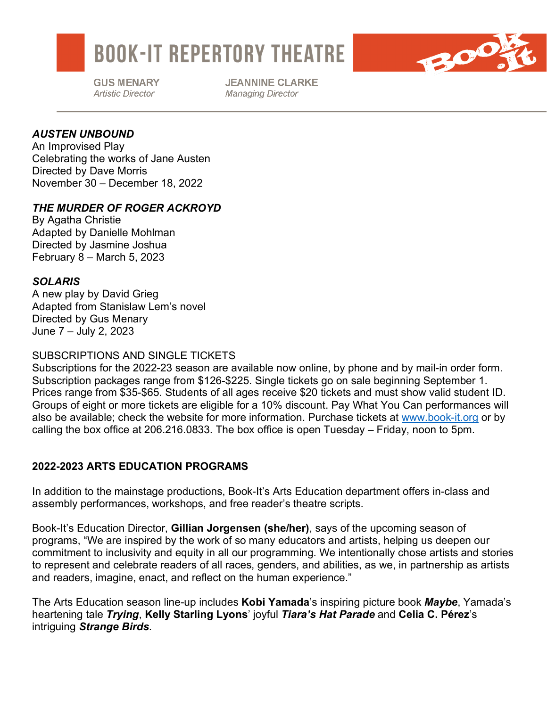

**GUS MENARY Artistic Director** 

**JEANNINE CLARKE Managing Director** 

20

# *AUSTEN UNBOUND*

An Improvised Play Celebrating the works of Jane Austen Directed by Dave Morris November 30 – December 18, 2022

### *THE MURDER OF ROGER ACKROYD*

By Agatha Christie Adapted by Danielle Mohlman Directed by Jasmine Joshua February 8 – March 5, 2023

#### *SOLARIS*

A new play by David Grieg Adapted from Stanislaw Lem's novel Directed by Gus Menary June 7 – July 2, 2023

### SUBSCRIPTIONS AND SINGLE TICKETS

Subscriptions for the 2022-23 season are available now online, by phone and by mail-in order form. Subscription packages range from \$126-\$225. Single tickets go on sale beginning September 1. Prices range from \$35-\$65. Students of all ages receive \$20 tickets and must show valid student ID. Groups of eight or more tickets are eligible for a 10% discount. Pay What You Can performances will also be available; check the website for more information. Purchase tickets at [www.book-it.org](http://www.book-it.org/) or by calling the box office at 206.216.0833. The box office is open Tuesday – Friday, noon to 5pm.

# **2022-2023 ARTS EDUCATION PROGRAMS**

In addition to the mainstage productions, Book-It's Arts Education department offers in-class and assembly performances, workshops, and free reader's theatre scripts.

Book-It's Education Director, **Gillian Jorgensen (she/her)**, says of the upcoming season of programs, "We are inspired by the work of so many educators and artists, helping us deepen our commitment to inclusivity and equity in all our programming. We intentionally chose artists and stories to represent and celebrate readers of all races, genders, and abilities, as we, in partnership as artists and readers, imagine, enact, and reflect on the human experience."

The Arts Education season line-up includes **Kobi Yamada**'s inspiring picture book *Maybe*, Yamada's heartening tale *Trying*, **Kelly Starling Lyons**' joyful *Tiara's Hat Parade* and **Celia C. Pérez**'s intriguing *Strange Birds*.